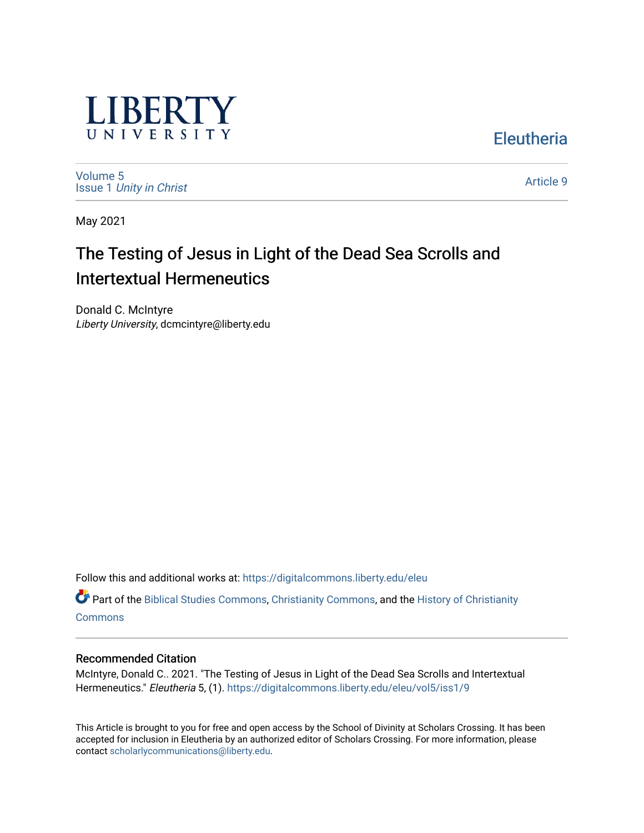

**Eleutheria** 

[Volume 5](https://digitalcommons.liberty.edu/eleu/vol5) Issue 1 [Unity in Christ](https://digitalcommons.liberty.edu/eleu/vol5/iss1) 

[Article 9](https://digitalcommons.liberty.edu/eleu/vol5/iss1/9) 

May 2021

# The Testing of Jesus in Light of the Dead Sea Scrolls and Intertextual Hermeneutics

Donald C. McIntyre Liberty University, dcmcintyre@liberty.edu

Follow this and additional works at: [https://digitalcommons.liberty.edu/eleu](https://digitalcommons.liberty.edu/eleu?utm_source=digitalcommons.liberty.edu%2Feleu%2Fvol5%2Fiss1%2F9&utm_medium=PDF&utm_campaign=PDFCoverPages) 

Part of the [Biblical Studies Commons,](http://network.bepress.com/hgg/discipline/539?utm_source=digitalcommons.liberty.edu%2Feleu%2Fvol5%2Fiss1%2F9&utm_medium=PDF&utm_campaign=PDFCoverPages) [Christianity Commons,](http://network.bepress.com/hgg/discipline/1181?utm_source=digitalcommons.liberty.edu%2Feleu%2Fvol5%2Fiss1%2F9&utm_medium=PDF&utm_campaign=PDFCoverPages) and the [History of Christianity](http://network.bepress.com/hgg/discipline/1182?utm_source=digitalcommons.liberty.edu%2Feleu%2Fvol5%2Fiss1%2F9&utm_medium=PDF&utm_campaign=PDFCoverPages)  **[Commons](http://network.bepress.com/hgg/discipline/1182?utm_source=digitalcommons.liberty.edu%2Feleu%2Fvol5%2Fiss1%2F9&utm_medium=PDF&utm_campaign=PDFCoverPages)** 

# Recommended Citation

McIntyre, Donald C.. 2021. "The Testing of Jesus in Light of the Dead Sea Scrolls and Intertextual Hermeneutics." Eleutheria 5, (1). [https://digitalcommons.liberty.edu/eleu/vol5/iss1/9](https://digitalcommons.liberty.edu/eleu/vol5/iss1/9?utm_source=digitalcommons.liberty.edu%2Feleu%2Fvol5%2Fiss1%2F9&utm_medium=PDF&utm_campaign=PDFCoverPages) 

This Article is brought to you for free and open access by the School of Divinity at Scholars Crossing. It has been accepted for inclusion in Eleutheria by an authorized editor of Scholars Crossing. For more information, please contact [scholarlycommunications@liberty.edu](mailto:scholarlycommunications@liberty.edu).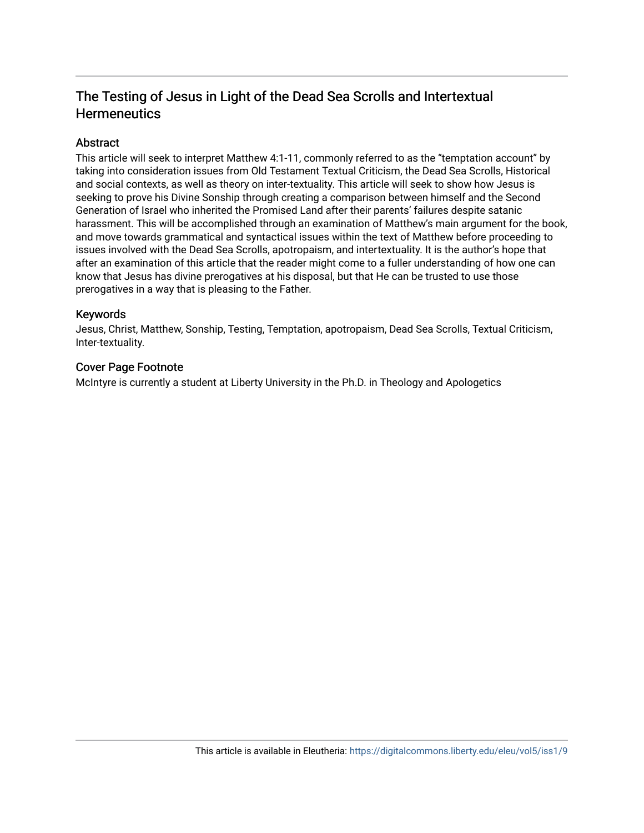# The Testing of Jesus in Light of the Dead Sea Scrolls and Intertextual **Hermeneutics**

# **Abstract**

This article will seek to interpret Matthew 4:1-11, commonly referred to as the "temptation account" by taking into consideration issues from Old Testament Textual Criticism, the Dead Sea Scrolls, Historical and social contexts, as well as theory on inter-textuality. This article will seek to show how Jesus is seeking to prove his Divine Sonship through creating a comparison between himself and the Second Generation of Israel who inherited the Promised Land after their parents' failures despite satanic harassment. This will be accomplished through an examination of Matthew's main argument for the book, and move towards grammatical and syntactical issues within the text of Matthew before proceeding to issues involved with the Dead Sea Scrolls, apotropaism, and intertextuality. It is the author's hope that after an examination of this article that the reader might come to a fuller understanding of how one can know that Jesus has divine prerogatives at his disposal, but that He can be trusted to use those prerogatives in a way that is pleasing to the Father.

## Keywords

Jesus, Christ, Matthew, Sonship, Testing, Temptation, apotropaism, Dead Sea Scrolls, Textual Criticism, Inter-textuality.

# Cover Page Footnote

McIntyre is currently a student at Liberty University in the Ph.D. in Theology and Apologetics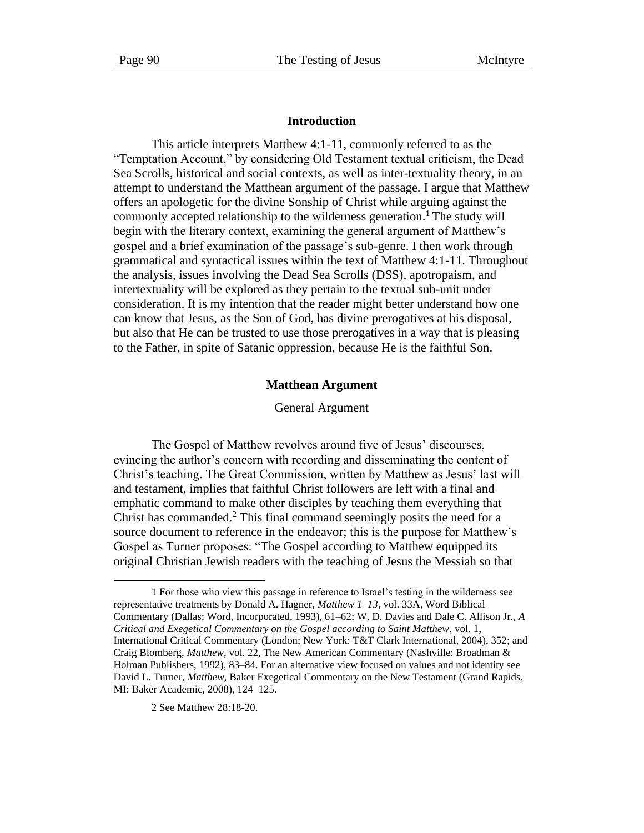#### **Introduction**

This article interprets Matthew 4:1-11, commonly referred to as the "Temptation Account," by considering Old Testament textual criticism, the Dead Sea Scrolls, historical and social contexts, as well as inter-textuality theory, in an attempt to understand the Matthean argument of the passage. I argue that Matthew offers an apologetic for the divine Sonship of Christ while arguing against the commonly accepted relationship to the wilderness generation.<sup>1</sup> The study will begin with the literary context, examining the general argument of Matthew's gospel and a brief examination of the passage's sub-genre. I then work through grammatical and syntactical issues within the text of Matthew 4:1-11. Throughout the analysis, issues involving the Dead Sea Scrolls (DSS), apotropaism, and intertextuality will be explored as they pertain to the textual sub-unit under consideration. It is my intention that the reader might better understand how one can know that Jesus, as the Son of God, has divine prerogatives at his disposal, but also that He can be trusted to use those prerogatives in a way that is pleasing to the Father, in spite of Satanic oppression, because He is the faithful Son.

#### **Matthean Argument**

General Argument

The Gospel of Matthew revolves around five of Jesus' discourses, evincing the author's concern with recording and disseminating the content of Christ's teaching. The Great Commission, written by Matthew as Jesus' last will and testament, implies that faithful Christ followers are left with a final and emphatic command to make other disciples by teaching them everything that Christ has commanded.<sup>2</sup> This final command seemingly posits the need for a source document to reference in the endeavor; this is the purpose for Matthew's Gospel as Turner proposes: "The Gospel according to Matthew equipped its original Christian Jewish readers with the teaching of Jesus the Messiah so that

2 See Matthew 28:18-20.

<sup>1</sup> For those who view this passage in reference to Israel's testing in the wilderness see representative treatments by Donald A. Hagner, *Matthew 1–13*, vol. 33A, Word Biblical Commentary (Dallas: Word, Incorporated, 1993), 61–62; W. D. Davies and Dale C. Allison Jr., *A Critical and Exegetical Commentary on the Gospel according to Saint Matthew*, vol. 1, International Critical Commentary (London; New York: T&T Clark International, 2004), 352; and Craig Blomberg, *Matthew*, vol. 22, The New American Commentary (Nashville: Broadman & Holman Publishers, 1992), 83–84. For an alternative view focused on values and not identity see David L. Turner, *Matthew*, Baker Exegetical Commentary on the New Testament (Grand Rapids, MI: Baker Academic, 2008), 124–125.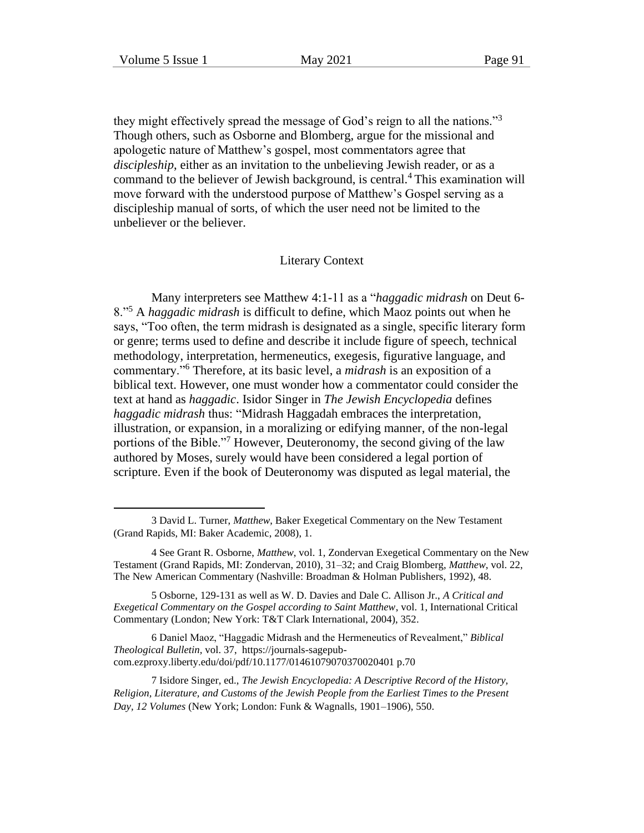they might effectively spread the message of God's reign to all the nations."<sup>3</sup> Though others, such as Osborne and Blomberg, argue for the missional and apologetic nature of Matthew's gospel, most commentators agree that *discipleship*, either as an invitation to the unbelieving Jewish reader, or as a command to the believer of Jewish background, is central.<sup>4</sup> This examination will move forward with the understood purpose of Matthew's Gospel serving as a discipleship manual of sorts, of which the user need not be limited to the unbeliever or the believer.

#### Literary Context

Many interpreters see Matthew 4:1-11 as a "*haggadic midrash* on Deut 6- 8."<sup>5</sup> A *haggadic midrash* is difficult to define, which Maoz points out when he says, "Too often, the term midrash is designated as a single, specific literary form or genre; terms used to define and describe it include figure of speech, technical methodology, interpretation, hermeneutics, exegesis, figurative language, and commentary."<sup>6</sup> Therefore, at its basic level, a *midrash* is an exposition of a biblical text. However, one must wonder how a commentator could consider the text at hand as *haggadic*. Isidor Singer in *The Jewish Encyclopedia* defines *haggadic midrash* thus: "Midrash Haggadah embraces the interpretation, illustration, or expansion, in a moralizing or edifying manner, of the non-legal portions of the Bible."<sup>7</sup> However, Deuteronomy, the second giving of the law authored by Moses, surely would have been considered a legal portion of scripture. Even if the book of Deuteronomy was disputed as legal material, the

<sup>3</sup> David L. Turner, *Matthew*, Baker Exegetical Commentary on the New Testament (Grand Rapids, MI: Baker Academic, 2008), 1.

<sup>4</sup> See Grant R. Osborne, *Matthew*, vol. 1, Zondervan Exegetical Commentary on the New Testament (Grand Rapids, MI: Zondervan, 2010), 31–32; and Craig Blomberg, *Matthew*, vol. 22, The New American Commentary (Nashville: Broadman & Holman Publishers, 1992), 48.

<sup>5</sup> Osborne, 129-131 as well as W. D. Davies and Dale C. Allison Jr., *A Critical and Exegetical Commentary on the Gospel according to Saint Matthew*, vol. 1, International Critical Commentary (London; New York: T&T Clark International, 2004), 352.

<sup>6</sup> Daniel Maoz, "Haggadic Midrash and the Hermeneutics of Revealment," *Biblical Theological Bulletin,* vol. 37, https://journals-sagepubcom.ezproxy.liberty.edu/doi/pdf/10.1177/01461079070370020401 p.70

<sup>7</sup> Isidore Singer, ed., *The Jewish Encyclopedia: A Descriptive Record of the History, Religion, Literature, and Customs of the Jewish People from the Earliest Times to the Present Day, 12 Volumes* (New York; London: Funk & Wagnalls, 1901–1906), 550.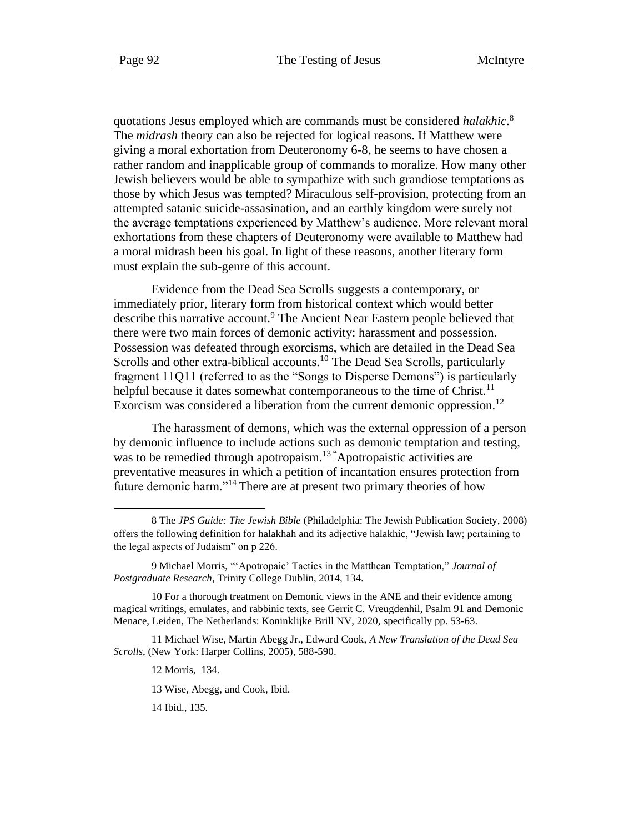quotations Jesus employed which are commands must be considered *halakhic*. 8 The *midrash* theory can also be rejected for logical reasons. If Matthew were giving a moral exhortation from Deuteronomy 6-8, he seems to have chosen a rather random and inapplicable group of commands to moralize. How many other Jewish believers would be able to sympathize with such grandiose temptations as those by which Jesus was tempted? Miraculous self-provision, protecting from an attempted satanic suicide-assasination, and an earthly kingdom were surely not the average temptations experienced by Matthew's audience. More relevant moral exhortations from these chapters of Deuteronomy were available to Matthew had a moral midrash been his goal. In light of these reasons, another literary form must explain the sub-genre of this account.

Evidence from the Dead Sea Scrolls suggests a contemporary, or immediately prior, literary form from historical context which would better describe this narrative account.<sup>9</sup> The Ancient Near Eastern people believed that there were two main forces of demonic activity: harassment and possession. Possession was defeated through exorcisms, which are detailed in the Dead Sea Scrolls and other extra-biblical accounts.<sup>10</sup> The Dead Sea Scrolls, particularly fragment 11Q11 (referred to as the "Songs to Disperse Demons") is particularly helpful because it dates somewhat contemporaneous to the time of Christ.<sup>11</sup> Exorcism was considered a liberation from the current demonic oppression.<sup>12</sup>

The harassment of demons, which was the external oppression of a person by demonic influence to include actions such as demonic temptation and testing, was to be remedied through apotropaism.<sup>13</sup> Apotropaistic activities are preventative measures in which a petition of incantation ensures protection from future demonic harm."<sup>14</sup> There are at present two primary theories of how

12 Morris, 134.

13 Wise, Abegg, and Cook, Ibid.

14 Ibid., 135.

<sup>8</sup> The *JPS Guide: The Jewish Bible* (Philadelphia: The Jewish Publication Society, 2008) offers the following definition for halakhah and its adjective halakhic, "Jewish law; pertaining to the legal aspects of Judaism" on p 226.

<sup>9</sup> Michael Morris, "'Apotropaic' Tactics in the Matthean Temptation," *Journal of Postgraduate Research*, Trinity College Dublin, 2014, 134.

<sup>10</sup> For a thorough treatment on Demonic views in the ANE and their evidence among magical writings, emulates, and rabbinic texts, see Gerrit C. Vreugdenhil, Psalm 91 and Demonic Menace, Leiden, The Netherlands: Koninklijke Brill NV, 2020, specifically pp. 53-63.

<sup>11</sup> Michael Wise, Martin Abegg Jr., Edward Cook, *A New Translation of the Dead Sea Scrolls*, (New York: Harper Collins, 2005), 588-590.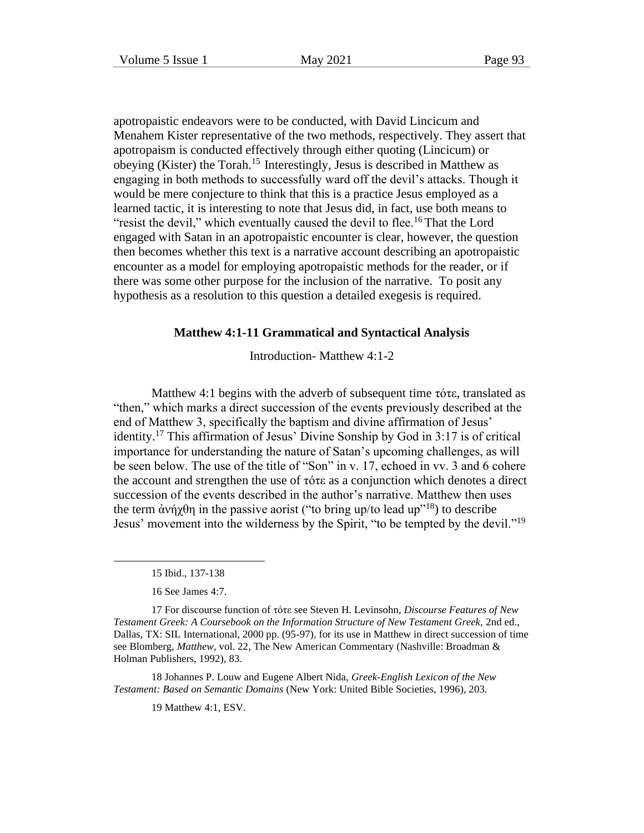apotropaistic endeavors were to be conducted, with David Lincicum and Menahem Kister representative of the two methods, respectively. They assert that apotropaism is conducted effectively through either quoting (Lincicum) or obeying (Kister) the Torah.<sup>15</sup> Interestingly, Jesus is described in Matthew as engaging in both methods to successfully ward off the devil's attacks. Though it would be mere conjecture to think that this is a practice Jesus employed as a learned tactic, it is interesting to note that Jesus did, in fact, use both means to "resist the devil," which eventually caused the devil to flee.<sup>16</sup> That the Lord engaged with Satan in an apotropaistic encounter is clear, however, the question then becomes whether this text is a narrative account describing an apotropaistic encounter as a model for employing apotropaistic methods for the reader, or if there was some other purpose for the inclusion of the narrative. To posit any hypothesis as a resolution to this question a detailed exegesis is required.

#### **Matthew 4:1-11 Grammatical and Syntactical Analysis**

Introduction- Matthew 4:1-2

Matthew 4:1 begins with the adverb of subsequent time τότε, translated as "then," which marks a direct succession of the events previously described at the end of Matthew 3, specifically the baptism and divine affirmation of Jesus' identity.<sup>17</sup> This affirmation of Jesus' Divine Sonship by God in 3:17 is of critical importance for understanding the nature of Satan's upcoming challenges, as will be seen below. The use of the title of "Son" in v. 17, echoed in vv. 3 and 6 cohere the account and strengthen the use of τότε as a conjunction which denotes a direct succession of the events described in the author's narrative. Matthew then uses the term  $\dot{\alpha}$ νήχθη in the passive aorist ("to bring up/to lead up"<sup>18</sup>) to describe Jesus' movement into the wilderness by the Spirit, "to be tempted by the devil."<sup>19</sup>

18 Johannes P. Louw and Eugene Albert Nida, *Greek-English Lexicon of the New Testament: Based on Semantic Domains* (New York: United Bible Societies, 1996), 203.

19 Matthew 4:1, ESV.

<sup>15</sup> Ibid., 137-138

<sup>16</sup> See James 4:7.

<sup>17</sup> For discourse function of τότε see Steven H. Levinsohn, *Discourse Features of New Testament Greek: A Coursebook on the Information Structure of New Testament Greek,* 2nd ed., Dallas, TX: SIL International, 2000 pp. (95-97), for its use in Matthew in direct succession of time see Blomberg, *Matthew*, vol. 22, The New American Commentary (Nashville: Broadman & Holman Publishers, 1992), 83.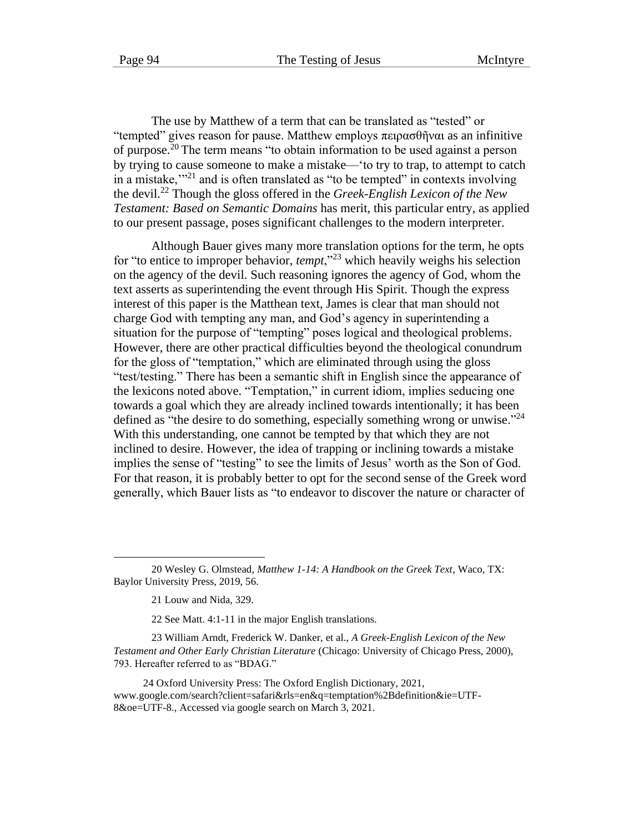The use by Matthew of a term that can be translated as "tested" or "tempted" gives reason for pause. Matthew employs  $\pi \varepsilon \rho \alpha \sigma \theta \tilde{\eta}$  varias an infinitive of purpose.<sup>20</sup> The term means "to obtain information to be used against a person by trying to cause someone to make a mistake—'to try to trap, to attempt to catch in a mistake, $"^{21}$  and is often translated as "to be tempted" in contexts involving the devil.<sup>22</sup> Though the gloss offered in the *Greek-English Lexicon of the New Testament: Based on Semantic Domains* has merit, this particular entry, as applied to our present passage, poses significant challenges to the modern interpreter.

Although Bauer gives many more translation options for the term, he opts for "to entice to improper behavior, *tempt*,"<sup>23</sup> which heavily weighs his selection on the agency of the devil. Such reasoning ignores the agency of God, whom the text asserts as superintending the event through His Spirit. Though the express interest of this paper is the Matthean text, James is clear that man should not charge God with tempting any man, and God's agency in superintending a situation for the purpose of "tempting" poses logical and theological problems. However, there are other practical difficulties beyond the theological conundrum for the gloss of "temptation," which are eliminated through using the gloss "test/testing." There has been a semantic shift in English since the appearance of the lexicons noted above. "Temptation," in current idiom, implies seducing one towards a goal which they are already inclined towards intentionally; it has been defined as "the desire to do something, especially something wrong or unwise."<sup>24</sup> With this understanding, one cannot be tempted by that which they are not inclined to desire. However, the idea of trapping or inclining towards a mistake implies the sense of "testing" to see the limits of Jesus' worth as the Son of God. For that reason, it is probably better to opt for the second sense of the Greek word generally, which Bauer lists as "to endeavor to discover the nature or character of

22 See Matt. 4:1-11 in the major English translations.

23 William Arndt, Frederick W. Danker, et al., *A Greek-English Lexicon of the New Testament and Other Early Christian Literature* (Chicago: University of Chicago Press, 2000), 793. Hereafter referred to as "BDAG."

24 Oxford University Press: The Oxford English Dictionary, 2021, www.google.com/search?client=safari&rls=en&q=temptation%2Bdefinition&ie=UTF-8&oe=UTF-8., Accessed via google search on March 3, 2021.

<sup>20</sup> Wesley G. Olmstead, *Matthew 1-14: A Handbook on the Greek Text*, Waco, TX: Baylor University Press, 2019, 56.

<sup>21</sup> Louw and Nida, 329.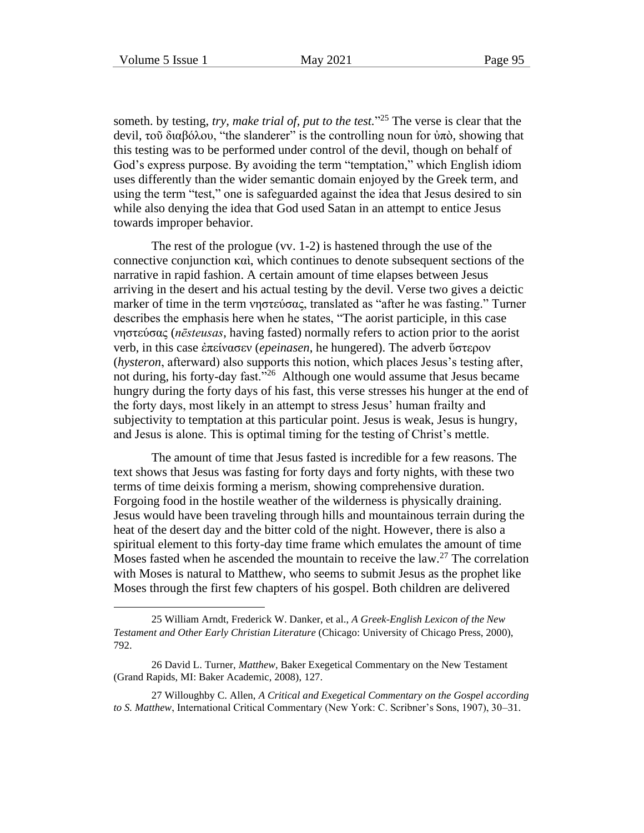someth. by testing, *try, make trial of, put to the test.*" <sup>25</sup> The verse is clear that the devil, τοῦ διαβόλου, "the slanderer" is the controlling noun for ὐπὸ, showing that this testing was to be performed under control of the devil, though on behalf of God's express purpose. By avoiding the term "temptation," which English idiom uses differently than the wider semantic domain enjoyed by the Greek term, and using the term "test," one is safeguarded against the idea that Jesus desired to sin while also denying the idea that God used Satan in an attempt to entice Jesus towards improper behavior.

The rest of the prologue (vv. 1-2) is hastened through the use of the connective conjunction καὶ, which continues to denote subsequent sections of the narrative in rapid fashion. A certain amount of time elapses between Jesus arriving in the desert and his actual testing by the devil. Verse two gives a deictic marker of time in the term νηστεύσας, translated as "after he was fasting." Turner describes the emphasis here when he states, "The aorist participle, in this case νηστεύσας (*nēsteusas*, having fasted) normally refers to action prior to the aorist verb, in this case ἐπείνασεν (*epeinasen*, he hungered). The adverb ὕστερον (*hysteron*, afterward) also supports this notion, which places Jesus's testing after, not during, his forty-day fast."<sup>26</sup> Although one would assume that Jesus became hungry during the forty days of his fast, this verse stresses his hunger at the end of the forty days, most likely in an attempt to stress Jesus' human frailty and subjectivity to temptation at this particular point. Jesus is weak, Jesus is hungry, and Jesus is alone. This is optimal timing for the testing of Christ's mettle.

The amount of time that Jesus fasted is incredible for a few reasons. The text shows that Jesus was fasting for forty days and forty nights, with these two terms of time deixis forming a merism, showing comprehensive duration. Forgoing food in the hostile weather of the wilderness is physically draining. Jesus would have been traveling through hills and mountainous terrain during the heat of the desert day and the bitter cold of the night. However, there is also a spiritual element to this forty-day time frame which emulates the amount of time Moses fasted when he ascended the mountain to receive the law.<sup>27</sup> The correlation with Moses is natural to Matthew, who seems to submit Jesus as the prophet like Moses through the first few chapters of his gospel. Both children are delivered

<sup>25</sup> William Arndt, Frederick W. Danker, et al., *A Greek-English Lexicon of the New Testament and Other Early Christian Literature* (Chicago: University of Chicago Press, 2000), 792.

<sup>26</sup> David L. Turner, *Matthew*, Baker Exegetical Commentary on the New Testament (Grand Rapids, MI: Baker Academic, 2008), 127.

<sup>27</sup> Willoughby C. Allen, *A Critical and Exegetical Commentary on the Gospel according to S. Matthew*, International Critical Commentary (New York: C. Scribner's Sons, 1907), 30–31.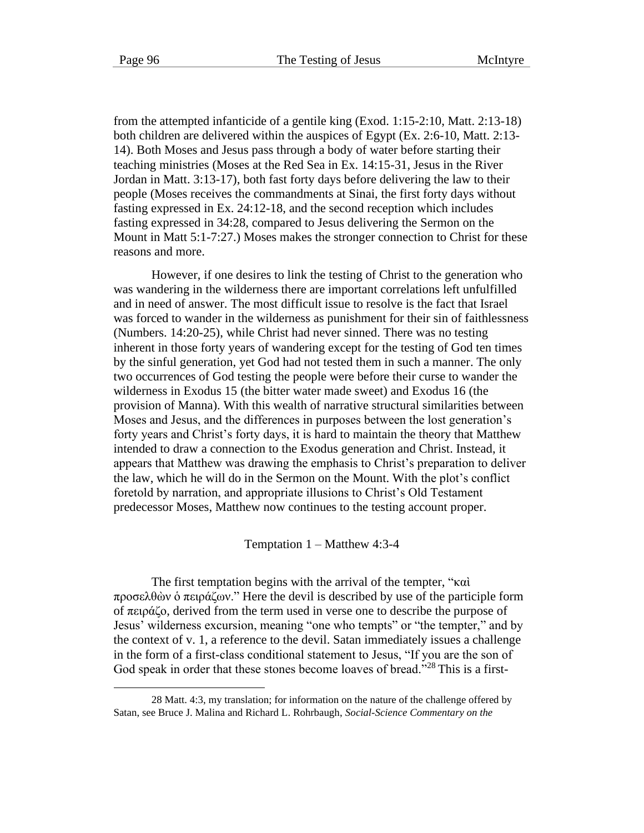from the attempted infanticide of a gentile king (Exod. 1:15-2:10, Matt. 2:13-18) both children are delivered within the auspices of Egypt (Ex. 2:6-10, Matt. 2:13- 14). Both Moses and Jesus pass through a body of water before starting their teaching ministries (Moses at the Red Sea in Ex. 14:15-31, Jesus in the River Jordan in Matt. 3:13-17), both fast forty days before delivering the law to their people (Moses receives the commandments at Sinai, the first forty days without fasting expressed in Ex. 24:12-18, and the second reception which includes fasting expressed in 34:28, compared to Jesus delivering the Sermon on the Mount in Matt 5:1-7:27.) Moses makes the stronger connection to Christ for these reasons and more.

However, if one desires to link the testing of Christ to the generation who was wandering in the wilderness there are important correlations left unfulfilled and in need of answer. The most difficult issue to resolve is the fact that Israel was forced to wander in the wilderness as punishment for their sin of faithlessness (Numbers. 14:20-25), while Christ had never sinned. There was no testing inherent in those forty years of wandering except for the testing of God ten times by the sinful generation, yet God had not tested them in such a manner. The only two occurrences of God testing the people were before their curse to wander the wilderness in Exodus 15 (the bitter water made sweet) and Exodus 16 (the provision of Manna). With this wealth of narrative structural similarities between Moses and Jesus, and the differences in purposes between the lost generation's forty years and Christ's forty days, it is hard to maintain the theory that Matthew intended to draw a connection to the Exodus generation and Christ. Instead, it appears that Matthew was drawing the emphasis to Christ's preparation to deliver the law, which he will do in the Sermon on the Mount. With the plot's conflict foretold by narration, and appropriate illusions to Christ's Old Testament predecessor Moses, Matthew now continues to the testing account proper.

Temptation 1 – Matthew 4:3-4

The first temptation begins with the arrival of the tempter, "καὶ προσελθὼν ὁ πειράζων." Here the devil is described by use of the participle form of πειράζο, derived from the term used in verse one to describe the purpose of Jesus' wilderness excursion, meaning "one who tempts" or "the tempter," and by the context of v. 1, a reference to the devil. Satan immediately issues a challenge in the form of a first-class conditional statement to Jesus, "If you are the son of God speak in order that these stones become loaves of bread."<sup>28</sup> This is a first-

<sup>28</sup> Matt. 4:3, my translation; for information on the nature of the challenge offered by Satan, see Bruce J. Malina and Richard L. Rohrbaugh, *Social-Science Commentary on the*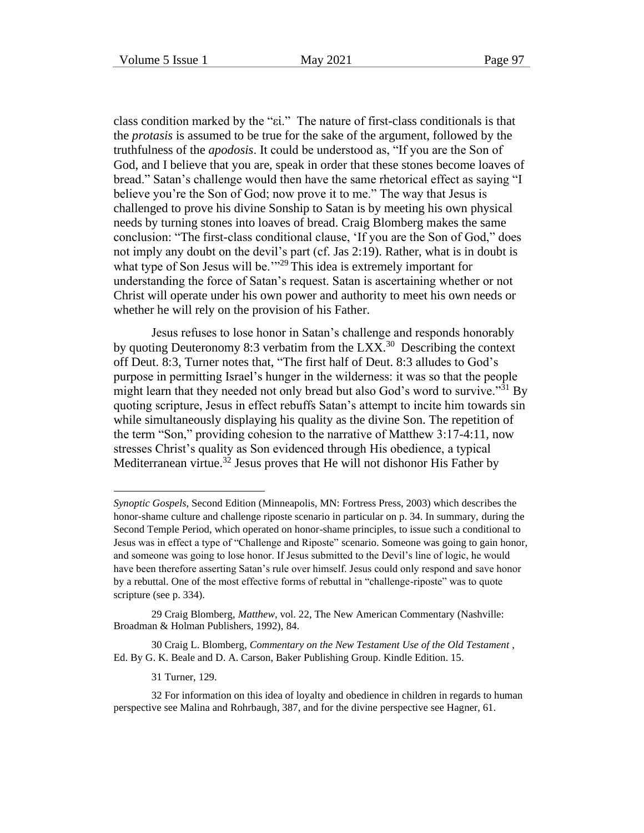class condition marked by the "εἰ." The nature of first-class conditionals is that the *protasis* is assumed to be true for the sake of the argument, followed by the truthfulness of the *apodosis*. It could be understood as, "If you are the Son of God, and I believe that you are, speak in order that these stones become loaves of bread." Satan's challenge would then have the same rhetorical effect as saying "I believe you're the Son of God; now prove it to me." The way that Jesus is challenged to prove his divine Sonship to Satan is by meeting his own physical needs by turning stones into loaves of bread. Craig Blomberg makes the same conclusion: "The first-class conditional clause, 'If you are the Son of God," does not imply any doubt on the devil's part (cf. Jas 2:19). Rather, what is in doubt is what type of Son Jesus will be."<sup>29</sup> This idea is extremely important for understanding the force of Satan's request. Satan is ascertaining whether or not Christ will operate under his own power and authority to meet his own needs or whether he will rely on the provision of his Father.

Jesus refuses to lose honor in Satan's challenge and responds honorably by quoting Deuteronomy 8:3 verbatim from the LXX.<sup>30</sup> Describing the context off Deut. 8:3, Turner notes that, "The first half of Deut. 8:3 alludes to God's purpose in permitting Israel's hunger in the wilderness: it was so that the people might learn that they needed not only bread but also God's word to survive."<sup>31</sup> By quoting scripture, Jesus in effect rebuffs Satan's attempt to incite him towards sin while simultaneously displaying his quality as the divine Son. The repetition of the term "Son," providing cohesion to the narrative of Matthew 3:17-4:11, now stresses Christ's quality as Son evidenced through His obedience, a typical Mediterranean virtue.<sup>32</sup> Jesus proves that He will not dishonor His Father by

31 Turner, 129.

*Synoptic Gospels*, Second Edition (Minneapolis, MN: Fortress Press, 2003) which describes the honor-shame culture and challenge riposte scenario in particular on p. 34. In summary, during the Second Temple Period, which operated on honor-shame principles, to issue such a conditional to Jesus was in effect a type of "Challenge and Riposte" scenario. Someone was going to gain honor, and someone was going to lose honor. If Jesus submitted to the Devil's line of logic, he would have been therefore asserting Satan's rule over himself. Jesus could only respond and save honor by a rebuttal. One of the most effective forms of rebuttal in "challenge-riposte" was to quote scripture (see p. 334).

<sup>29</sup> Craig Blomberg, *Matthew*, vol. 22, The New American Commentary (Nashville: Broadman & Holman Publishers, 1992), 84.

<sup>30</sup> Craig L. Blomberg, *Commentary on the New Testament Use of the Old Testament* , Ed. By G. K. Beale and D. A. Carson, Baker Publishing Group. Kindle Edition. 15.

<sup>32</sup> For information on this idea of loyalty and obedience in children in regards to human perspective see Malina and Rohrbaugh, 387, and for the divine perspective see Hagner, 61.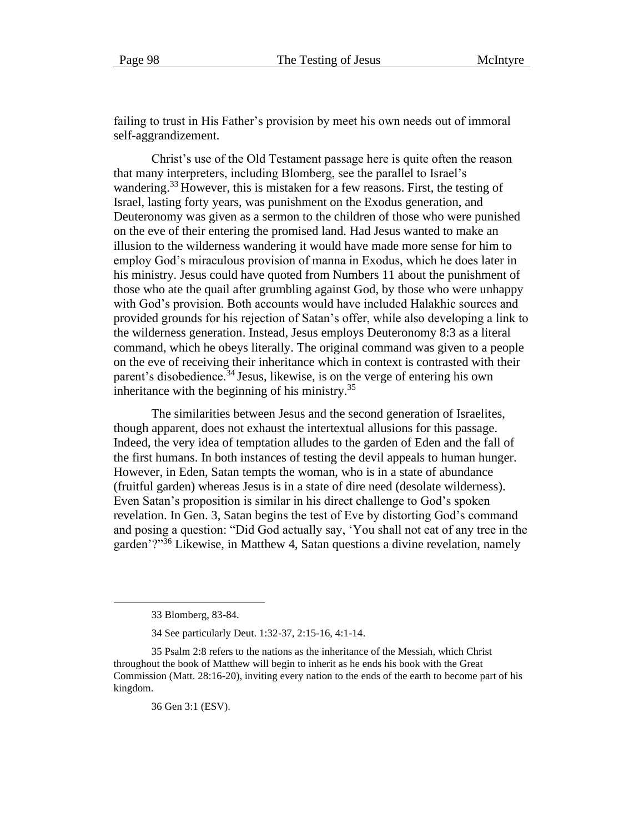failing to trust in His Father's provision by meet his own needs out of immoral self-aggrandizement.

Christ's use of the Old Testament passage here is quite often the reason that many interpreters, including Blomberg, see the parallel to Israel's wandering.<sup>33</sup> However, this is mistaken for a few reasons. First, the testing of Israel, lasting forty years, was punishment on the Exodus generation, and Deuteronomy was given as a sermon to the children of those who were punished on the eve of their entering the promised land. Had Jesus wanted to make an illusion to the wilderness wandering it would have made more sense for him to employ God's miraculous provision of manna in Exodus, which he does later in his ministry. Jesus could have quoted from Numbers 11 about the punishment of those who ate the quail after grumbling against God, by those who were unhappy with God's provision. Both accounts would have included Halakhic sources and provided grounds for his rejection of Satan's offer, while also developing a link to the wilderness generation. Instead, Jesus employs Deuteronomy 8:3 as a literal command, which he obeys literally. The original command was given to a people on the eve of receiving their inheritance which in context is contrasted with their parent's disobedience.<sup>34</sup> Jesus, likewise, is on the verge of entering his own inheritance with the beginning of his ministry. $35$ 

The similarities between Jesus and the second generation of Israelites, though apparent, does not exhaust the intertextual allusions for this passage. Indeed, the very idea of temptation alludes to the garden of Eden and the fall of the first humans. In both instances of testing the devil appeals to human hunger. However, in Eden, Satan tempts the woman, who is in a state of abundance (fruitful garden) whereas Jesus is in a state of dire need (desolate wilderness). Even Satan's proposition is similar in his direct challenge to God's spoken revelation. In Gen. 3, Satan begins the test of Eve by distorting God's command and posing a question: "Did God actually say, 'You shall not eat of any tree in the garden'?"<sup>36</sup> Likewise, in Matthew 4, Satan questions a divine revelation, namely

36 Gen 3:1 (ESV).

<sup>33</sup> Blomberg, 83-84.

<sup>34</sup> See particularly Deut. 1:32-37, 2:15-16, 4:1-14.

<sup>35</sup> Psalm 2:8 refers to the nations as the inheritance of the Messiah, which Christ throughout the book of Matthew will begin to inherit as he ends his book with the Great Commission (Matt. 28:16-20), inviting every nation to the ends of the earth to become part of his kingdom.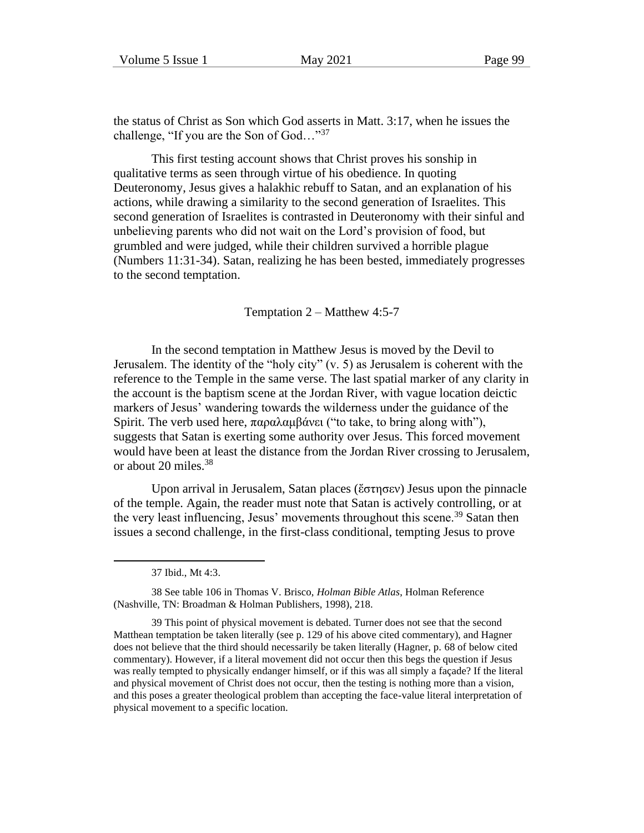the status of Christ as Son which God asserts in Matt. 3:17, when he issues the challenge, "If you are the Son of  $God...$ "<sup>37</sup>

This first testing account shows that Christ proves his sonship in qualitative terms as seen through virtue of his obedience. In quoting Deuteronomy, Jesus gives a halakhic rebuff to Satan, and an explanation of his actions, while drawing a similarity to the second generation of Israelites. This second generation of Israelites is contrasted in Deuteronomy with their sinful and unbelieving parents who did not wait on the Lord's provision of food, but grumbled and were judged, while their children survived a horrible plague (Numbers 11:31-34). Satan, realizing he has been bested, immediately progresses to the second temptation.

Temptation 2 – Matthew 4:5-7

In the second temptation in Matthew Jesus is moved by the Devil to Jerusalem. The identity of the "holy city" (v. 5) as Jerusalem is coherent with the reference to the Temple in the same verse. The last spatial marker of any clarity in the account is the baptism scene at the Jordan River, with vague location deictic markers of Jesus' wandering towards the wilderness under the guidance of the Spirit. The verb used here, παραλαμβάνει ("to take, to bring along with"), suggests that Satan is exerting some authority over Jesus. This forced movement would have been at least the distance from the Jordan River crossing to Jerusalem, or about 20 miles.<sup>38</sup>

Upon arrival in Jerusalem, Satan places (ἔστησεν) Jesus upon the pinnacle of the temple. Again, the reader must note that Satan is actively controlling, or at the very least influencing, Jesus' movements throughout this scene.<sup>39</sup> Satan then issues a second challenge, in the first-class conditional, tempting Jesus to prove

<sup>37</sup> Ibid., Mt 4:3.

<sup>38</sup> See table 106 in Thomas V. Brisco, *Holman Bible Atlas*, Holman Reference (Nashville, TN: Broadman & Holman Publishers, 1998), 218.

<sup>39</sup> This point of physical movement is debated. Turner does not see that the second Matthean temptation be taken literally (see p. 129 of his above cited commentary), and Hagner does not believe that the third should necessarily be taken literally (Hagner, p. 68 of below cited commentary). However, if a literal movement did not occur then this begs the question if Jesus was really tempted to physically endanger himself, or if this was all simply a façade? If the literal and physical movement of Christ does not occur, then the testing is nothing more than a vision, and this poses a greater theological problem than accepting the face-value literal interpretation of physical movement to a specific location.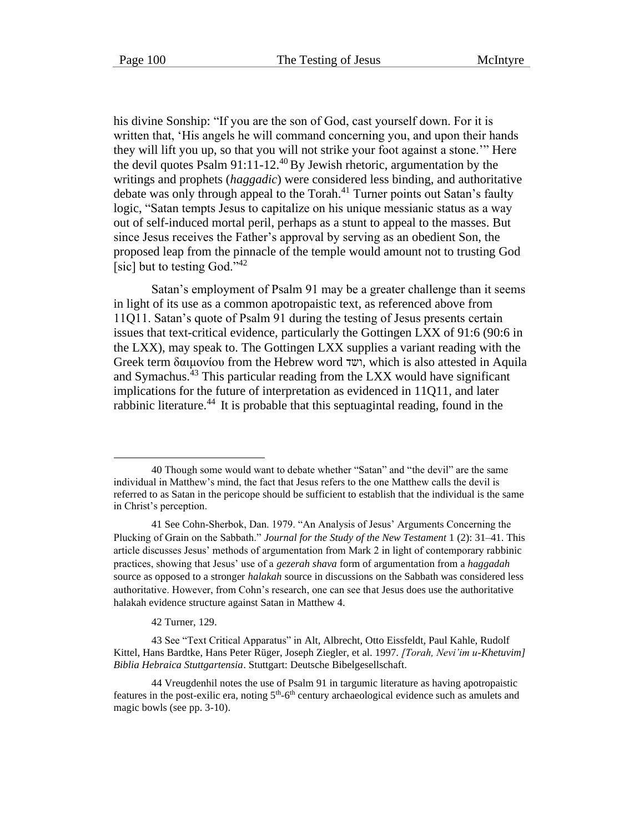his divine Sonship: "If you are the son of God, cast yourself down. For it is written that, 'His angels he will command concerning you, and upon their hands they will lift you up, so that you will not strike your foot against a stone.'" Here the devil quotes Psalm  $91:11-12.^{40}$  By Jewish rhetoric, argumentation by the writings and prophets (*haggadic*) were considered less binding, and authoritative debate was only through appeal to the Torah.<sup>41</sup> Turner points out Satan's faulty logic, "Satan tempts Jesus to capitalize on his unique messianic status as a way out of self-induced mortal peril, perhaps as a stunt to appeal to the masses. But since Jesus receives the Father's approval by serving as an obedient Son, the proposed leap from the pinnacle of the temple would amount not to trusting God [sic] but to testing God."<sup>42</sup>

Satan's employment of Psalm 91 may be a greater challenge than it seems in light of its use as a common apotropaistic text, as referenced above from 11Q11. Satan's quote of Psalm 91 during the testing of Jesus presents certain issues that text-critical evidence, particularly the Gottingen LXX of 91:6 (90:6 in the LXX), may speak to. The Gottingen LXX supplies a variant reading with the Greek term δαιμονίου from the Hebrew word ושד, which is also attested in Aquila and Symachus.<sup>43</sup> This particular reading from the LXX would have significant implications for the future of interpretation as evidenced in 11Q11, and later rabbinic literature.<sup>44</sup> It is probable that this septuagintal reading, found in the

42 Turner, 129.

<sup>40</sup> Though some would want to debate whether "Satan" and "the devil" are the same individual in Matthew's mind, the fact that Jesus refers to the one Matthew calls the devil is referred to as Satan in the pericope should be sufficient to establish that the individual is the same in Christ's perception.

<sup>41</sup> See Cohn-Sherbok, Dan. 1979. "An Analysis of Jesus' Arguments Concerning the Plucking of Grain on the Sabbath." *Journal for the Study of the New Testament* 1 (2): 31–41. This article discusses Jesus' methods of argumentation from Mark 2 in light of contemporary rabbinic practices, showing that Jesus' use of a *gezerah shava* form of argumentation from a *haggadah*  source as opposed to a stronger *halakah* source in discussions on the Sabbath was considered less authoritative. However, from Cohn's research, one can see that Jesus does use the authoritative halakah evidence structure against Satan in Matthew 4.

<sup>43</sup> See "Text Critical Apparatus" in Alt, Albrecht, Otto Eissfeldt, Paul Kahle, Rudolf Kittel, Hans Bardtke, Hans Peter Rüger, Joseph Ziegler, et al. 1997. *[Torah, Nevi'im u-Khetuvim] Biblia Hebraica Stuttgartensia*. Stuttgart: Deutsche Bibelgesellschaft.

<sup>44</sup> Vreugdenhil notes the use of Psalm 91 in targumic literature as having apotropaistic features in the post-exilic era, noting  $5<sup>th</sup>$ -6<sup>th</sup> century archaeological evidence such as amulets and magic bowls (see pp. 3-10).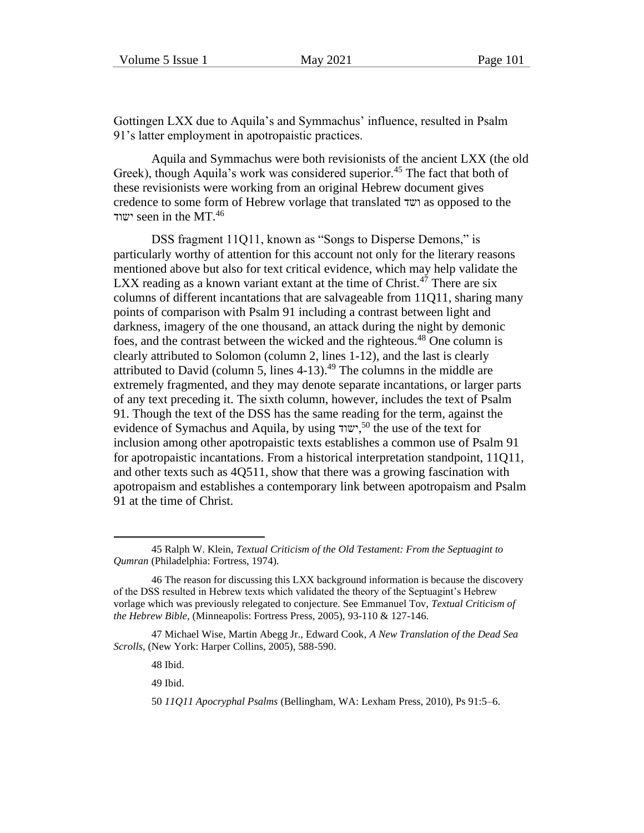Gottingen LXX due to Aquila's and Symmachus' influence, resulted in Psalm 91's latter employment in apotropaistic practices.

Aquila and Symmachus were both revisionists of the ancient LXX (the old Greek), though Aquila's work was considered superior.<sup>45</sup> The fact that both of these revisionists were working from an original Hebrew document gives credence to some form of Hebrew vorlage that translated ושד as opposed to the ישוד seen in the MT. $46$ 

DSS fragment 11Q11, known as "Songs to Disperse Demons," is particularly worthy of attention for this account not only for the literary reasons mentioned above but also for text critical evidence, which may help validate the LXX reading as a known variant extant at the time of Christ.<sup>47</sup> There are six columns of different incantations that are salvageable from 11Q11, sharing many points of comparison with Psalm 91 including a contrast between light and darkness, imagery of the one thousand, an attack during the night by demonic foes, and the contrast between the wicked and the righteous.<sup>48</sup> One column is clearly attributed to Solomon (column 2, lines 1-12), and the last is clearly attributed to David (column 5, lines  $4-13$ ).<sup>49</sup> The columns in the middle are extremely fragmented, and they may denote separate incantations, or larger parts of any text preceding it. The sixth column, however, includes the text of Psalm 91. Though the text of the DSS has the same reading for the term, against the evidence of Symachus and Aquila, by using ישוד, <sup>50</sup> the use of the text for inclusion among other apotropaistic texts establishes a common use of Psalm 91 for apotropaistic incantations. From a historical interpretation standpoint, 11Q11, and other texts such as 4Q511, show that there was a growing fascination with apotropaism and establishes a contemporary link between apotropaism and Psalm 91 at the time of Christ.

48 Ibid.

49 Ibid.

<sup>45</sup> Ralph W. Klein, *Textual Criticism of the Old Testament: From the Septuagint to Qumran* (Philadelphia: Fortress, 1974).

<sup>46</sup> The reason for discussing this LXX background information is because the discovery of the DSS resulted in Hebrew texts which validated the theory of the Septuagint's Hebrew vorlage which was previously relegated to conjecture. See Emmanuel Tov, *Textual Criticism of the Hebrew Bible*, (Minneapolis: Fortress Press, 2005), 93-110 & 127-146.

<sup>47</sup> Michael Wise, Martin Abegg Jr., Edward Cook, *A New Translation of the Dead Sea Scrolls*, (New York: Harper Collins, 2005), 588-590.

<sup>50</sup> *11Q11 Apocryphal Psalms* (Bellingham, WA: Lexham Press, 2010), Ps 91:5–6.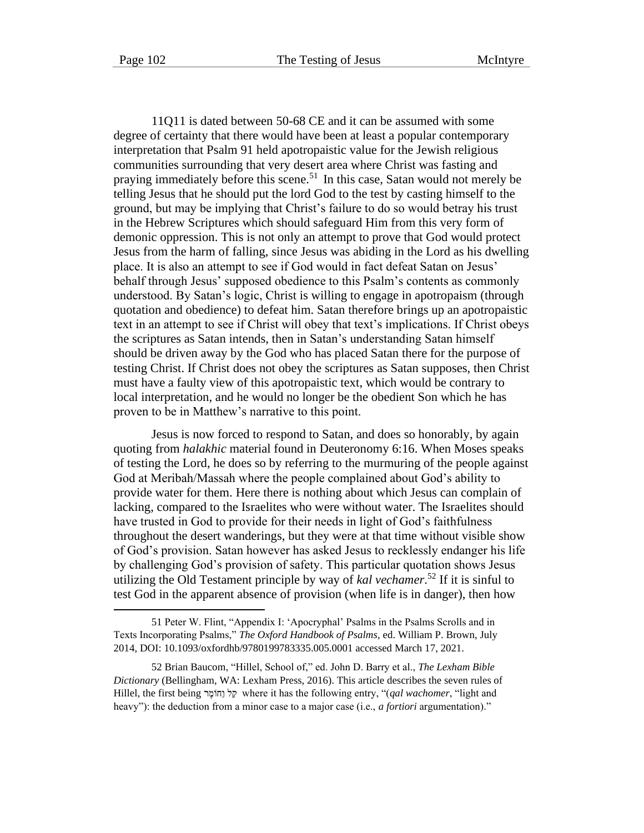11Q11 is dated between 50-68 CE and it can be assumed with some degree of certainty that there would have been at least a popular contemporary interpretation that Psalm 91 held apotropaistic value for the Jewish religious communities surrounding that very desert area where Christ was fasting and praying immediately before this scene.<sup>51</sup> In this case, Satan would not merely be telling Jesus that he should put the lord God to the test by casting himself to the ground, but may be implying that Christ's failure to do so would betray his trust in the Hebrew Scriptures which should safeguard Him from this very form of demonic oppression. This is not only an attempt to prove that God would protect Jesus from the harm of falling, since Jesus was abiding in the Lord as his dwelling place. It is also an attempt to see if God would in fact defeat Satan on Jesus' behalf through Jesus' supposed obedience to this Psalm's contents as commonly understood. By Satan's logic, Christ is willing to engage in apotropaism (through quotation and obedience) to defeat him. Satan therefore brings up an apotropaistic text in an attempt to see if Christ will obey that text's implications. If Christ obeys the scriptures as Satan intends, then in Satan's understanding Satan himself should be driven away by the God who has placed Satan there for the purpose of testing Christ. If Christ does not obey the scriptures as Satan supposes, then Christ must have a faulty view of this apotropaistic text, which would be contrary to local interpretation, and he would no longer be the obedient Son which he has proven to be in Matthew's narrative to this point.

Jesus is now forced to respond to Satan, and does so honorably, by again quoting from *halakhic* material found in Deuteronomy 6:16. When Moses speaks of testing the Lord, he does so by referring to the murmuring of the people against God at Meribah/Massah where the people complained about God's ability to provide water for them. Here there is nothing about which Jesus can complain of lacking, compared to the Israelites who were without water. The Israelites should have trusted in God to provide for their needs in light of God's faithfulness throughout the desert wanderings, but they were at that time without visible show of God's provision. Satan however has asked Jesus to recklessly endanger his life by challenging God's provision of safety. This particular quotation shows Jesus utilizing the Old Testament principle by way of *kal vechamer*. <sup>52</sup> If it is sinful to test God in the apparent absence of provision (when life is in danger), then how

<sup>51</sup> Peter W. Flint, "Appendix I: 'Apocryphal' Psalms in the Psalms Scrolls and in Texts Incorporating Psalms," *The Oxford Handbook of Psalms*, ed. William P. Brown, July 2014, DOI: 10.1093/oxfordhb/9780199783335.005.0001 accessed March 17, 2021.

<sup>52</sup> Brian Baucom, "Hillel, School of," ed. John D. Barry et al., *The Lexham Bible Dictionary* (Bellingham, WA: Lexham Press, 2016). This article describes the seven rules of Hillel, the first being קל נְחוֹמֶר where it has the following entry, "*(qal wachomer*, "light and heavy"): the deduction from a minor case to a major case (i.e., *a fortiori* argumentation)."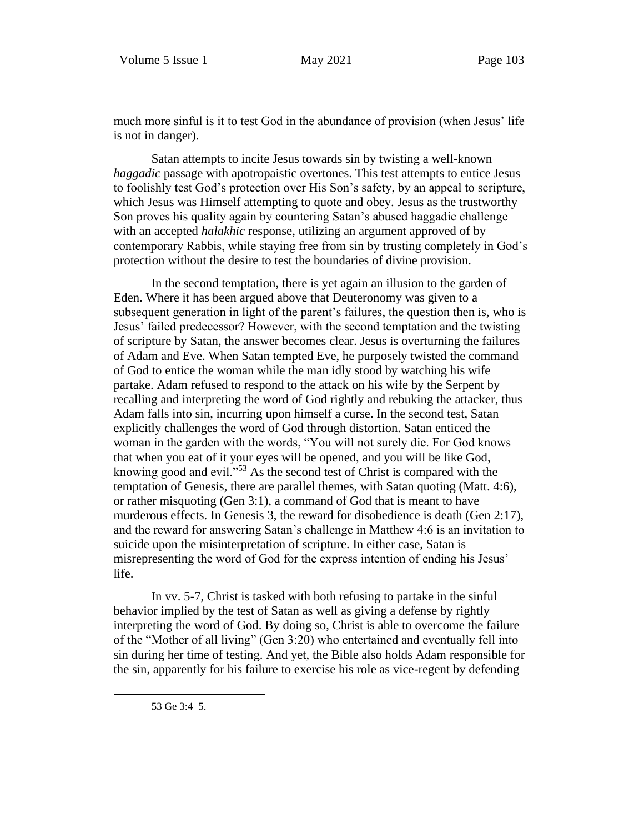much more sinful is it to test God in the abundance of provision (when Jesus' life is not in danger).

Satan attempts to incite Jesus towards sin by twisting a well-known *haggadic* passage with apotropaistic overtones. This test attempts to entice Jesus to foolishly test God's protection over His Son's safety, by an appeal to scripture, which Jesus was Himself attempting to quote and obey. Jesus as the trustworthy Son proves his quality again by countering Satan's abused haggadic challenge with an accepted *halakhic* response, utilizing an argument approved of by contemporary Rabbis, while staying free from sin by trusting completely in God's protection without the desire to test the boundaries of divine provision.

In the second temptation, there is yet again an illusion to the garden of Eden. Where it has been argued above that Deuteronomy was given to a subsequent generation in light of the parent's failures, the question then is, who is Jesus' failed predecessor? However, with the second temptation and the twisting of scripture by Satan, the answer becomes clear. Jesus is overturning the failures of Adam and Eve. When Satan tempted Eve, he purposely twisted the command of God to entice the woman while the man idly stood by watching his wife partake. Adam refused to respond to the attack on his wife by the Serpent by recalling and interpreting the word of God rightly and rebuking the attacker, thus Adam falls into sin, incurring upon himself a curse. In the second test, Satan explicitly challenges the word of God through distortion. Satan enticed the woman in the garden with the words, "You will not surely die. For God knows that when you eat of it your eyes will be opened, and you will be like God, knowing good and evil."<sup>53</sup> As the second test of Christ is compared with the temptation of Genesis, there are parallel themes, with Satan quoting (Matt. 4:6), or rather misquoting (Gen 3:1), a command of God that is meant to have murderous effects. In Genesis 3, the reward for disobedience is death (Gen 2:17), and the reward for answering Satan's challenge in Matthew 4:6 is an invitation to suicide upon the misinterpretation of scripture. In either case, Satan is misrepresenting the word of God for the express intention of ending his Jesus' life.

In vv. 5-7, Christ is tasked with both refusing to partake in the sinful behavior implied by the test of Satan as well as giving a defense by rightly interpreting the word of God. By doing so, Christ is able to overcome the failure of the "Mother of all living" (Gen 3:20) who entertained and eventually fell into sin during her time of testing. And yet, the Bible also holds Adam responsible for the sin, apparently for his failure to exercise his role as vice-regent by defending

53 Ge 3:4–5.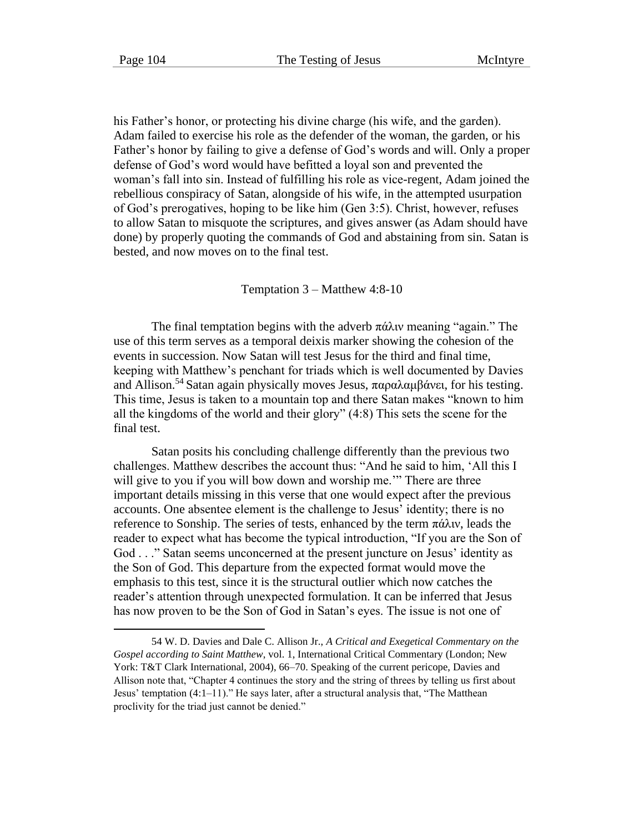his Father's honor, or protecting his divine charge (his wife, and the garden). Adam failed to exercise his role as the defender of the woman, the garden, or his Father's honor by failing to give a defense of God's words and will. Only a proper defense of God's word would have befitted a loyal son and prevented the woman's fall into sin. Instead of fulfilling his role as vice-regent, Adam joined the rebellious conspiracy of Satan, alongside of his wife, in the attempted usurpation of God's prerogatives, hoping to be like him (Gen 3:5). Christ, however, refuses to allow Satan to misquote the scriptures, and gives answer (as Adam should have done) by properly quoting the commands of God and abstaining from sin. Satan is bested, and now moves on to the final test.

Temptation 3 – Matthew 4:8-10

The final temptation begins with the adverb  $\pi \hat{\alpha} \lambda \hat{\alpha} \hat{\alpha}$  meaning "again." The use of this term serves as a temporal deixis marker showing the cohesion of the events in succession. Now Satan will test Jesus for the third and final time, keeping with Matthew's penchant for triads which is well documented by Davies and Allison.<sup>54</sup> Satan again physically moves Jesus, παραλαμβάνει, for his testing. This time, Jesus is taken to a mountain top and there Satan makes "known to him all the kingdoms of the world and their glory" (4:8) This sets the scene for the final test.

Satan posits his concluding challenge differently than the previous two challenges. Matthew describes the account thus: "And he said to him, 'All this I will give to you if you will bow down and worship me.'" There are three important details missing in this verse that one would expect after the previous accounts. One absentee element is the challenge to Jesus' identity; there is no reference to Sonship. The series of tests, enhanced by the term πάλιν, leads the reader to expect what has become the typical introduction, "If you are the Son of God . . ." Satan seems unconcerned at the present juncture on Jesus' identity as the Son of God. This departure from the expected format would move the emphasis to this test, since it is the structural outlier which now catches the reader's attention through unexpected formulation. It can be inferred that Jesus has now proven to be the Son of God in Satan's eyes. The issue is not one of

<sup>54</sup> W. D. Davies and Dale C. Allison Jr., *A Critical and Exegetical Commentary on the Gospel according to Saint Matthew*, vol. 1, International Critical Commentary (London; New York: T&T Clark International, 2004), 66–70. Speaking of the current pericope, Davies and Allison note that, "Chapter 4 continues the story and the string of threes by telling us first about Jesus' temptation (4:1–11)." He says later, after a structural analysis that, "The Matthean proclivity for the triad just cannot be denied."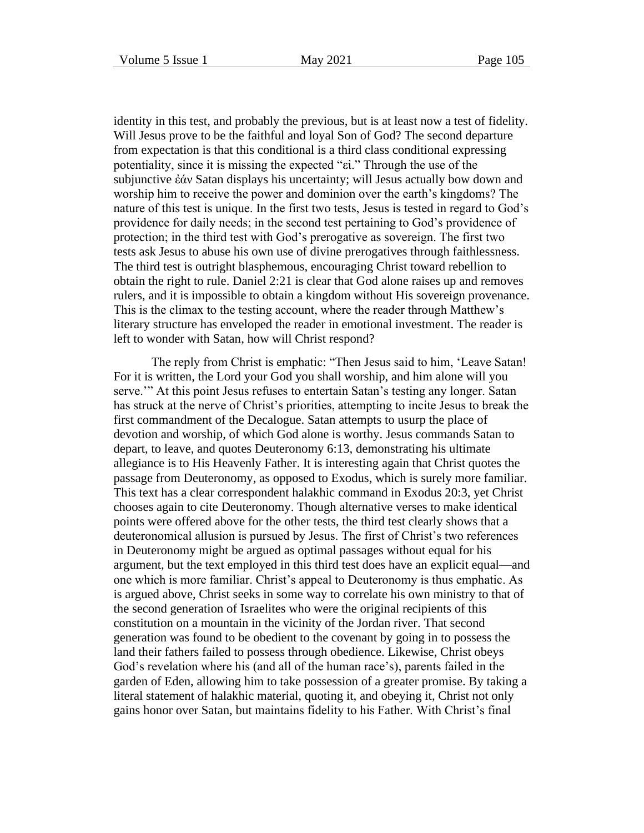identity in this test, and probably the previous, but is at least now a test of fidelity. Will Jesus prove to be the faithful and loyal Son of God? The second departure from expectation is that this conditional is a third class conditional expressing potentiality, since it is missing the expected "εἰ." Through the use of the subjunctive ἐάν Satan displays his uncertainty; will Jesus actually bow down and worship him to receive the power and dominion over the earth's kingdoms? The nature of this test is unique. In the first two tests, Jesus is tested in regard to God's providence for daily needs; in the second test pertaining to God's providence of protection; in the third test with God's prerogative as sovereign. The first two tests ask Jesus to abuse his own use of divine prerogatives through faithlessness. The third test is outright blasphemous, encouraging Christ toward rebellion to obtain the right to rule. Daniel 2:21 is clear that God alone raises up and removes rulers, and it is impossible to obtain a kingdom without His sovereign provenance. This is the climax to the testing account, where the reader through Matthew's literary structure has enveloped the reader in emotional investment. The reader is left to wonder with Satan, how will Christ respond?

The reply from Christ is emphatic: "Then Jesus said to him, 'Leave Satan! For it is written, the Lord your God you shall worship, and him alone will you serve.'" At this point Jesus refuses to entertain Satan's testing any longer. Satan has struck at the nerve of Christ's priorities, attempting to incite Jesus to break the first commandment of the Decalogue. Satan attempts to usurp the place of devotion and worship, of which God alone is worthy. Jesus commands Satan to depart, to leave, and quotes Deuteronomy 6:13, demonstrating his ultimate allegiance is to His Heavenly Father. It is interesting again that Christ quotes the passage from Deuteronomy, as opposed to Exodus, which is surely more familiar. This text has a clear correspondent halakhic command in Exodus 20:3, yet Christ chooses again to cite Deuteronomy. Though alternative verses to make identical points were offered above for the other tests, the third test clearly shows that a deuteronomical allusion is pursued by Jesus. The first of Christ's two references in Deuteronomy might be argued as optimal passages without equal for his argument, but the text employed in this third test does have an explicit equal—and one which is more familiar. Christ's appeal to Deuteronomy is thus emphatic. As is argued above, Christ seeks in some way to correlate his own ministry to that of the second generation of Israelites who were the original recipients of this constitution on a mountain in the vicinity of the Jordan river. That second generation was found to be obedient to the covenant by going in to possess the land their fathers failed to possess through obedience. Likewise, Christ obeys God's revelation where his (and all of the human race's), parents failed in the garden of Eden, allowing him to take possession of a greater promise. By taking a literal statement of halakhic material, quoting it, and obeying it, Christ not only gains honor over Satan, but maintains fidelity to his Father. With Christ's final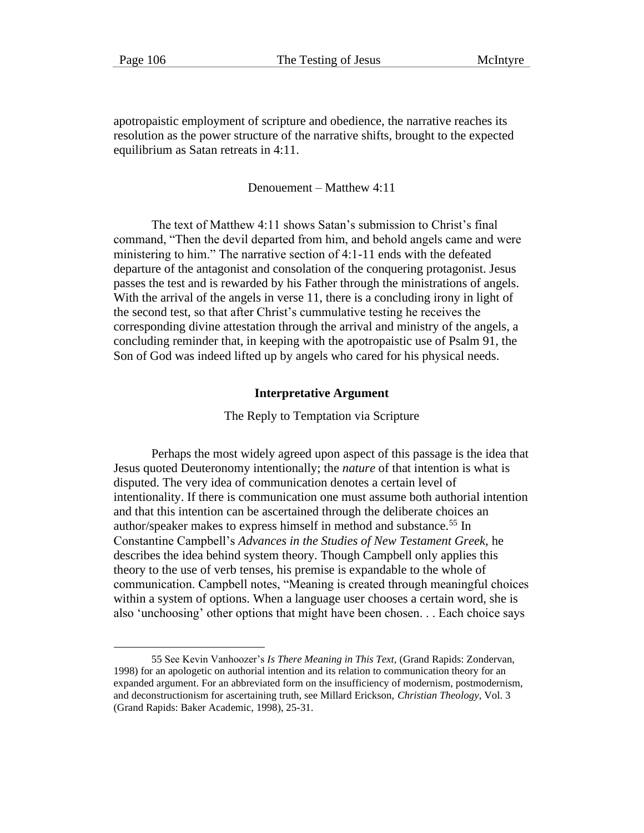apotropaistic employment of scripture and obedience, the narrative reaches its resolution as the power structure of the narrative shifts, brought to the expected equilibrium as Satan retreats in 4:11.

Denouement – Matthew 4:11

The text of Matthew 4:11 shows Satan's submission to Christ's final command, "Then the devil departed from him, and behold angels came and were ministering to him." The narrative section of 4:1-11 ends with the defeated departure of the antagonist and consolation of the conquering protagonist. Jesus passes the test and is rewarded by his Father through the ministrations of angels. With the arrival of the angels in verse 11, there is a concluding irony in light of the second test, so that after Christ's cummulative testing he receives the corresponding divine attestation through the arrival and ministry of the angels, a concluding reminder that, in keeping with the apotropaistic use of Psalm 91, the Son of God was indeed lifted up by angels who cared for his physical needs.

#### **Interpretative Argument**

The Reply to Temptation via Scripture

Perhaps the most widely agreed upon aspect of this passage is the idea that Jesus quoted Deuteronomy intentionally; the *nature* of that intention is what is disputed. The very idea of communication denotes a certain level of intentionality. If there is communication one must assume both authorial intention and that this intention can be ascertained through the deliberate choices an author/speaker makes to express himself in method and substance.<sup>55</sup> In Constantine Campbell's *Advances in the Studies of New Testament Greek,* he describes the idea behind system theory. Though Campbell only applies this theory to the use of verb tenses, his premise is expandable to the whole of communication. Campbell notes, "Meaning is created through meaningful choices within a system of options. When a language user chooses a certain word, she is also 'unchoosing' other options that might have been chosen. . . Each choice says

<sup>55</sup> See Kevin Vanhoozer's *Is There Meaning in This Text,* (Grand Rapids: Zondervan, 1998) for an apologetic on authorial intention and its relation to communication theory for an expanded argument. For an abbreviated form on the insufficiency of modernism, postmodernism, and deconstructionism for ascertaining truth, see Millard Erickson, *Christian Theology*, Vol. 3 (Grand Rapids: Baker Academic, 1998), 25-31.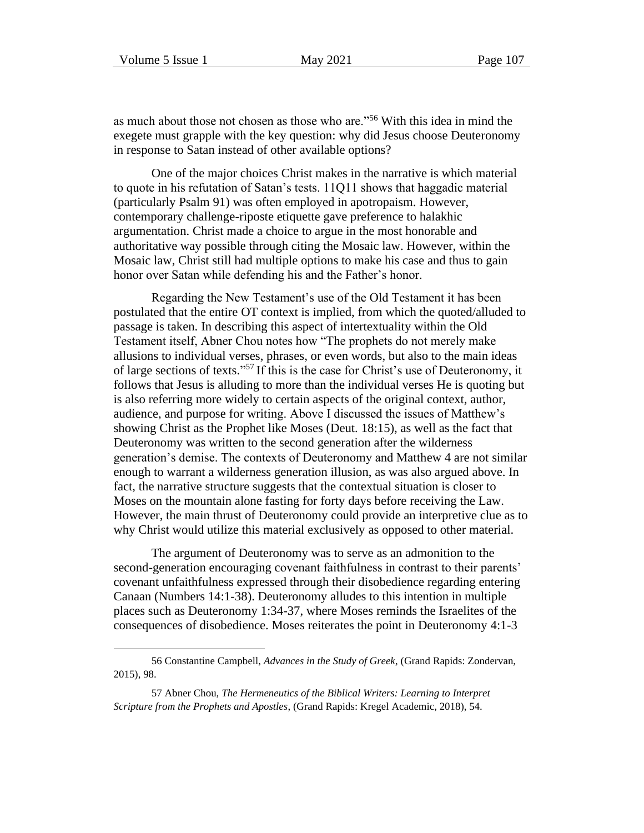as much about those not chosen as those who are."<sup>56</sup> With this idea in mind the exegete must grapple with the key question: why did Jesus choose Deuteronomy in response to Satan instead of other available options?

One of the major choices Christ makes in the narrative is which material to quote in his refutation of Satan's tests. 11Q11 shows that haggadic material (particularly Psalm 91) was often employed in apotropaism. However, contemporary challenge-riposte etiquette gave preference to halakhic argumentation. Christ made a choice to argue in the most honorable and authoritative way possible through citing the Mosaic law. However, within the Mosaic law, Christ still had multiple options to make his case and thus to gain honor over Satan while defending his and the Father's honor.

Regarding the New Testament's use of the Old Testament it has been postulated that the entire OT context is implied, from which the quoted/alluded to passage is taken. In describing this aspect of intertextuality within the Old Testament itself, Abner Chou notes how "The prophets do not merely make allusions to individual verses, phrases, or even words, but also to the main ideas of large sections of texts." <sup>57</sup> If this is the case for Christ's use of Deuteronomy, it follows that Jesus is alluding to more than the individual verses He is quoting but is also referring more widely to certain aspects of the original context, author, audience, and purpose for writing. Above I discussed the issues of Matthew's showing Christ as the Prophet like Moses (Deut. 18:15), as well as the fact that Deuteronomy was written to the second generation after the wilderness generation's demise. The contexts of Deuteronomy and Matthew 4 are not similar enough to warrant a wilderness generation illusion, as was also argued above. In fact, the narrative structure suggests that the contextual situation is closer to Moses on the mountain alone fasting for forty days before receiving the Law. However, the main thrust of Deuteronomy could provide an interpretive clue as to why Christ would utilize this material exclusively as opposed to other material.

The argument of Deuteronomy was to serve as an admonition to the second-generation encouraging covenant faithfulness in contrast to their parents' covenant unfaithfulness expressed through their disobedience regarding entering Canaan (Numbers 14:1-38). Deuteronomy alludes to this intention in multiple places such as Deuteronomy 1:34-37, where Moses reminds the Israelites of the consequences of disobedience. Moses reiterates the point in Deuteronomy 4:1-3

<sup>56</sup> Constantine Campbell, *Advances in the Study of Greek*, (Grand Rapids: Zondervan, 2015), 98.

<sup>57</sup> Abner Chou, *The Hermeneutics of the Biblical Writers: Learning to Interpret Scripture from the Prophets and Apostles*, (Grand Rapids: Kregel Academic, 2018), 54.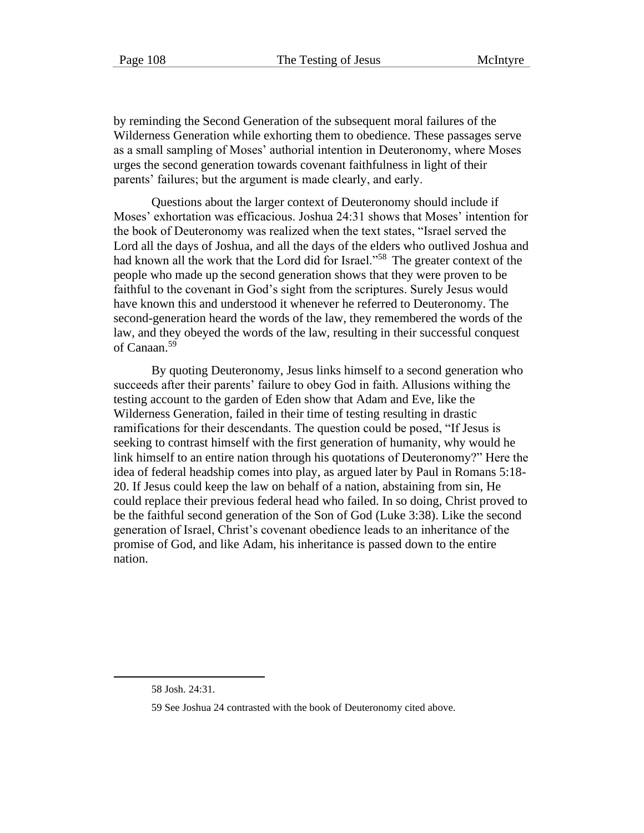by reminding the Second Generation of the subsequent moral failures of the Wilderness Generation while exhorting them to obedience. These passages serve as a small sampling of Moses' authorial intention in Deuteronomy, where Moses urges the second generation towards covenant faithfulness in light of their parents' failures; but the argument is made clearly, and early.

Questions about the larger context of Deuteronomy should include if Moses' exhortation was efficacious. Joshua 24:31 shows that Moses' intention for the book of Deuteronomy was realized when the text states, "Israel served the Lord all the days of Joshua, and all the days of the elders who outlived Joshua and had known all the work that the Lord did for Israel."<sup>58</sup> The greater context of the people who made up the second generation shows that they were proven to be faithful to the covenant in God's sight from the scriptures. Surely Jesus would have known this and understood it whenever he referred to Deuteronomy. The second-generation heard the words of the law, they remembered the words of the law, and they obeyed the words of the law, resulting in their successful conquest of Canaan.<sup>59</sup>

By quoting Deuteronomy, Jesus links himself to a second generation who succeeds after their parents' failure to obey God in faith. Allusions withing the testing account to the garden of Eden show that Adam and Eve, like the Wilderness Generation, failed in their time of testing resulting in drastic ramifications for their descendants. The question could be posed, "If Jesus is seeking to contrast himself with the first generation of humanity, why would he link himself to an entire nation through his quotations of Deuteronomy?" Here the idea of federal headship comes into play, as argued later by Paul in Romans 5:18- 20. If Jesus could keep the law on behalf of a nation, abstaining from sin, He could replace their previous federal head who failed. In so doing, Christ proved to be the faithful second generation of the Son of God (Luke 3:38). Like the second generation of Israel, Christ's covenant obedience leads to an inheritance of the promise of God, and like Adam, his inheritance is passed down to the entire nation.

<sup>58</sup> Josh. 24:31.

<sup>59</sup> See Joshua 24 contrasted with the book of Deuteronomy cited above.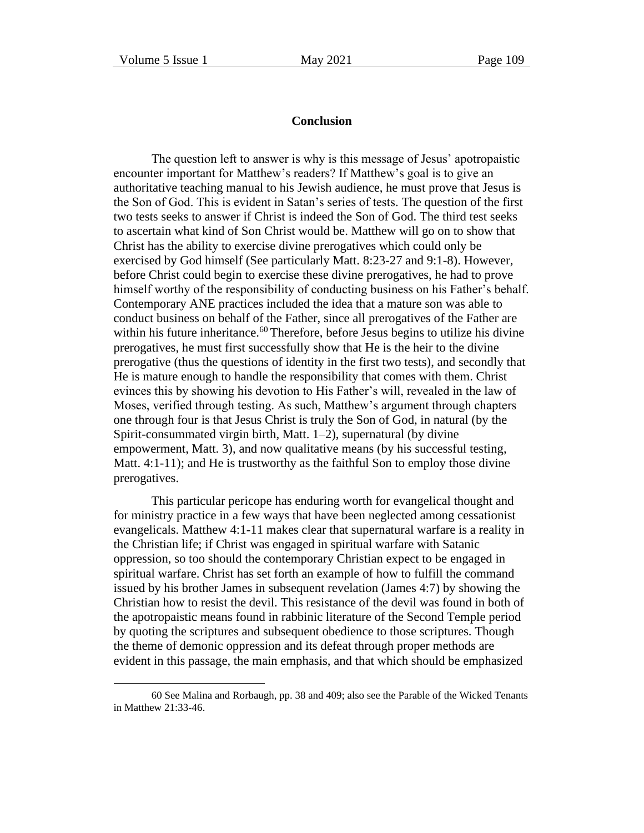### **Conclusion**

The question left to answer is why is this message of Jesus' apotropaistic encounter important for Matthew's readers? If Matthew's goal is to give an authoritative teaching manual to his Jewish audience, he must prove that Jesus is the Son of God. This is evident in Satan's series of tests. The question of the first two tests seeks to answer if Christ is indeed the Son of God. The third test seeks to ascertain what kind of Son Christ would be. Matthew will go on to show that Christ has the ability to exercise divine prerogatives which could only be exercised by God himself (See particularly Matt. 8:23-27 and 9:1-8). However, before Christ could begin to exercise these divine prerogatives, he had to prove himself worthy of the responsibility of conducting business on his Father's behalf. Contemporary ANE practices included the idea that a mature son was able to conduct business on behalf of the Father, since all prerogatives of the Father are within his future inheritance.<sup>60</sup> Therefore, before Jesus begins to utilize his divine prerogatives, he must first successfully show that He is the heir to the divine prerogative (thus the questions of identity in the first two tests), and secondly that He is mature enough to handle the responsibility that comes with them. Christ evinces this by showing his devotion to His Father's will, revealed in the law of Moses, verified through testing. As such, Matthew's argument through chapters one through four is that Jesus Christ is truly the Son of God, in natural (by the Spirit-consummated virgin birth, Matt. 1–2), supernatural (by divine empowerment, Matt. 3), and now qualitative means (by his successful testing, Matt. 4:1-11); and He is trustworthy as the faithful Son to employ those divine prerogatives.

This particular pericope has enduring worth for evangelical thought and for ministry practice in a few ways that have been neglected among cessationist evangelicals. Matthew 4:1-11 makes clear that supernatural warfare is a reality in the Christian life; if Christ was engaged in spiritual warfare with Satanic oppression, so too should the contemporary Christian expect to be engaged in spiritual warfare. Christ has set forth an example of how to fulfill the command issued by his brother James in subsequent revelation (James 4:7) by showing the Christian how to resist the devil. This resistance of the devil was found in both of the apotropaistic means found in rabbinic literature of the Second Temple period by quoting the scriptures and subsequent obedience to those scriptures. Though the theme of demonic oppression and its defeat through proper methods are evident in this passage, the main emphasis, and that which should be emphasized

<sup>60</sup> See Malina and Rorbaugh, pp. 38 and 409; also see the Parable of the Wicked Tenants in Matthew 21:33-46.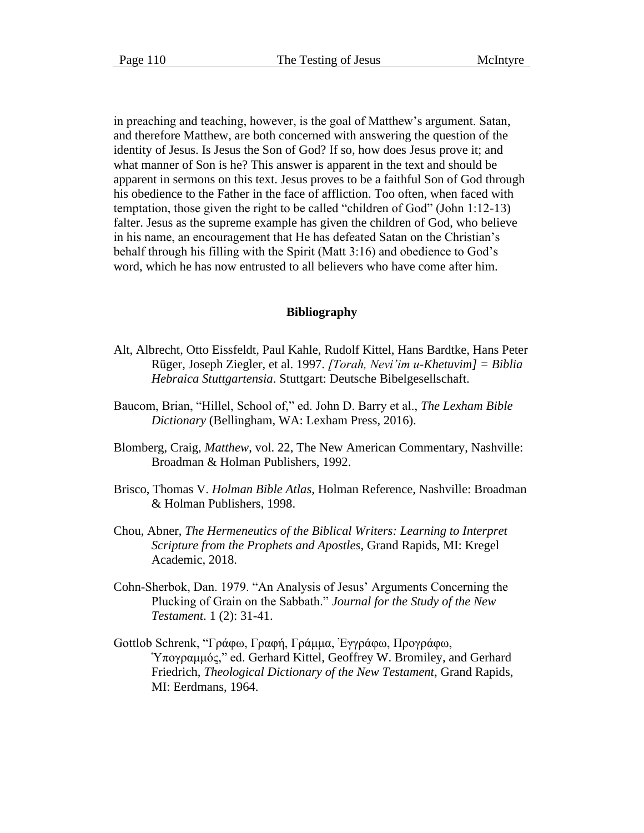in preaching and teaching, however, is the goal of Matthew's argument. Satan, and therefore Matthew, are both concerned with answering the question of the identity of Jesus. Is Jesus the Son of God? If so, how does Jesus prove it; and what manner of Son is he? This answer is apparent in the text and should be apparent in sermons on this text. Jesus proves to be a faithful Son of God through his obedience to the Father in the face of affliction. Too often, when faced with temptation, those given the right to be called "children of God" (John 1:12-13) falter. Jesus as the supreme example has given the children of God, who believe in his name, an encouragement that He has defeated Satan on the Christian's behalf through his filling with the Spirit (Matt 3:16) and obedience to God's word, which he has now entrusted to all believers who have come after him.

#### **Bibliography**

- Alt, Albrecht, Otto Eissfeldt, Paul Kahle, Rudolf Kittel, Hans Bardtke, Hans Peter Rüger, Joseph Ziegler, et al. 1997. *[Torah, Nevi'im u-Khetuvim] = Biblia Hebraica Stuttgartensia*. Stuttgart: Deutsche Bibelgesellschaft.
- Baucom, Brian, "Hillel, School of," ed. John D. Barry et al., *The Lexham Bible Dictionary* (Bellingham, WA: Lexham Press, 2016).
- Blomberg, Craig, *Matthew*, vol. 22, The New American Commentary, Nashville: Broadman & Holman Publishers, 1992.
- Brisco, Thomas V. *Holman Bible Atlas*, Holman Reference, Nashville: Broadman & Holman Publishers, 1998.
- Chou, Abner, *The Hermeneutics of the Biblical Writers: Learning to Interpret Scripture from the Prophets and Apostles*, Grand Rapids, MI: Kregel Academic, 2018.
- Cohn-Sherbok, Dan. 1979. "An Analysis of Jesus' Arguments Concerning the Plucking of Grain on the Sabbath." *Journal for the Study of the New Testament*. 1 (2): 31-41.
- Gottlob Schrenk, "Γράφω, Γραφή, Γράμμα, Ἐγγράφω, Προγράφω, Ὑπογραμμός," ed. Gerhard Kittel, Geoffrey W. Bromiley, and Gerhard Friedrich, *Theological Dictionary of the New Testament*, Grand Rapids, MI: Eerdmans, 1964.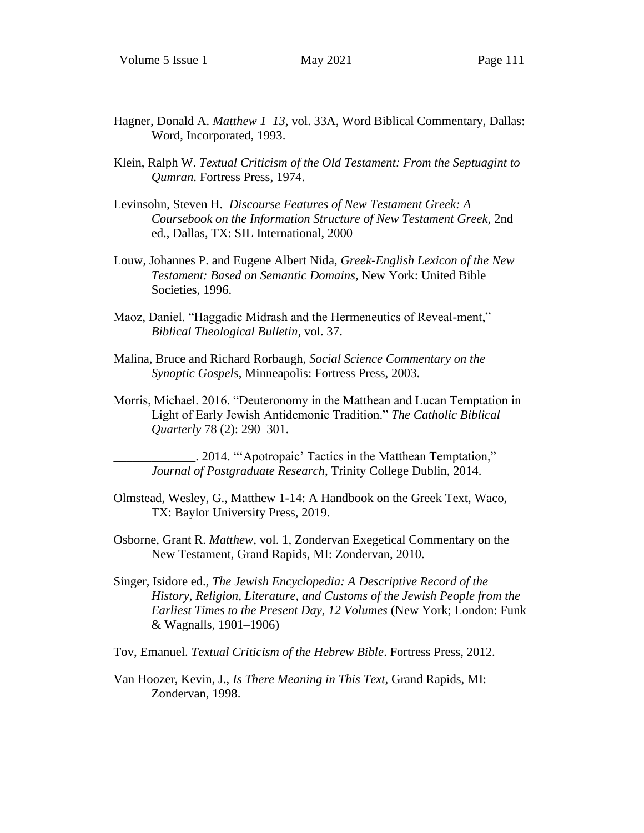- Hagner, Donald A. *Matthew 1–13*, vol. 33A, Word Biblical Commentary, Dallas: Word, Incorporated, 1993.
- Klein, Ralph W. *Textual Criticism of the Old Testament: From the Septuagint to Qumran*. Fortress Press, 1974.
- Levinsohn, Steven H. *Discourse Features of New Testament Greek: A Coursebook on the Information Structure of New Testament Greek,* 2nd ed., Dallas, TX: SIL International, 2000
- Louw, Johannes P. and Eugene Albert Nida, *Greek-English Lexicon of the New Testament: Based on Semantic Domains*, New York: United Bible Societies, 1996.
- Maoz, Daniel. "Haggadic Midrash and the Hermeneutics of Reveal-ment," *Biblical Theological Bulletin,* vol. 37.
- Malina, Bruce and Richard Rorbaugh, *Social Science Commentary on the Synoptic Gospels*, Minneapolis: Fortress Press, 2003.
- Morris, Michael. 2016. "Deuteronomy in the Matthean and Lucan Temptation in Light of Early Jewish Antidemonic Tradition." *The Catholic Biblical Quarterly* 78 (2): 290–301.

\_\_\_\_\_\_\_\_\_\_\_\_\_. 2014. "'Apotropaic' Tactics in the Matthean Temptation," *Journal of Postgraduate Research*, Trinity College Dublin, 2014.

- Olmstead, Wesley, G., Matthew 1-14: A Handbook on the Greek Text, Waco, TX: Baylor University Press, 2019.
- Osborne, Grant R. *Matthew*, vol. 1, Zondervan Exegetical Commentary on the New Testament, Grand Rapids, MI: Zondervan, 2010.
- Singer, Isidore ed., *The Jewish Encyclopedia: A Descriptive Record of the History, Religion, Literature, and Customs of the Jewish People from the Earliest Times to the Present Day, 12 Volumes* (New York; London: Funk & Wagnalls, 1901–1906)

Tov, Emanuel. *Textual Criticism of the Hebrew Bible*. Fortress Press, 2012.

Van Hoozer, Kevin, J., *Is There Meaning in This Text,* Grand Rapids, MI: Zondervan, 1998.